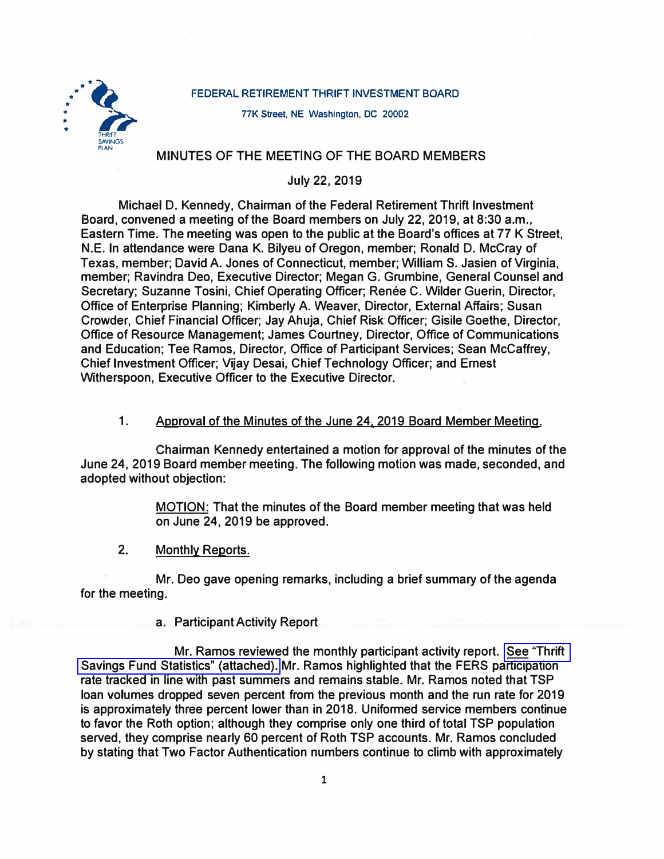### **FEDERAL RETIREMENT THRIFT INVESTMENT BOARD**



**77K Street, NE Washington, DC 20002** 

## **MINUTES OF THE MEETING OF THE BOARD MEMBERS**

# **July 22, 2019**

**Michael D. Kennedy, Chairman of the Federal Retirement Thrift Investment Board, convened a meeting of the Board members on July 22, 2019, at 8:30 a.m., Eastern Time. The meeting was open to the public at the Board's offices at 77 K Street, N.E. In attendance were Dana K. Bilyeu of Oregon, member; Ronald D. McCray of Texas, member; David A. Jones of Connecticut, member; William S. Jasien of Virginia, member; Ravindra Deo, Executive Director; Megan G. Grumbine, General Counsel and**  Secretary; Suzanne Tosini, Chief Operating Officer; Renée C. Wilder Guerin, Director, **Office of Enterprise Planning; Kimberly A. Weaver, Director, External Affairs; Susan Crowder, Chief Financial Officer; Jay Ahuja, Chief Risk· Officer; Gisile Goethe, Director, Office of Resource Management; James Courtney, Director, Office of Communications and Education; Tee Ramos, Director, Office of Participant Services; Sean Mccaffrey, Chief Investment Officer; Vijay Desai, Chief Technology Officer; and Ernest Witherspoon, Executive Officer to the Executive Director.** 

## 1. **Approval of the Minutes of the June 24, 2019 Board Member Meeting.**

**Chairman Kennedy entertained a motion for approval of the minutes of the June 24, 2019 Board member meeting. The following motion was made, seconded, and adopted without objection:** 

> **MOTION: That the minutes of the Board member meeting that was held on June 24, 2019 be approved.**

2. **Monthly Reports.** 

**Mr. Deo gave opening remarks, including a brief summary of the agenda for the meeting.** 

**a. Participant Activity Report**

**Mr. Ramos reviewed the monthly participant activity report. [See "Thrift](https://www.frtib.gov/pdf/minutes/2019/July/MM-2019July-Att1.pdf)  [Savings Fund Statistics" \(attached\).](https://www.frtib.gov/pdf/minutes/2019/July/MM-2019July-Att1.pdf) Mr. Ramos highlighted that the FERS participation rate tracked in line with past summers and remains stable. Mr. Ramos noted that TSP loan volumes dropped seven percent from the previous month and the run rate for 2019 is approximately three percent lower than in 2018. Uniformed service members continue to favor the Roth option; although they comprise only one third of total TSP population served, they comprise nearly 60 percent of Roth TSP accounts. Mr. Ramos concluded by stating that Two Factor Authentication numbers continue to climb with approximately**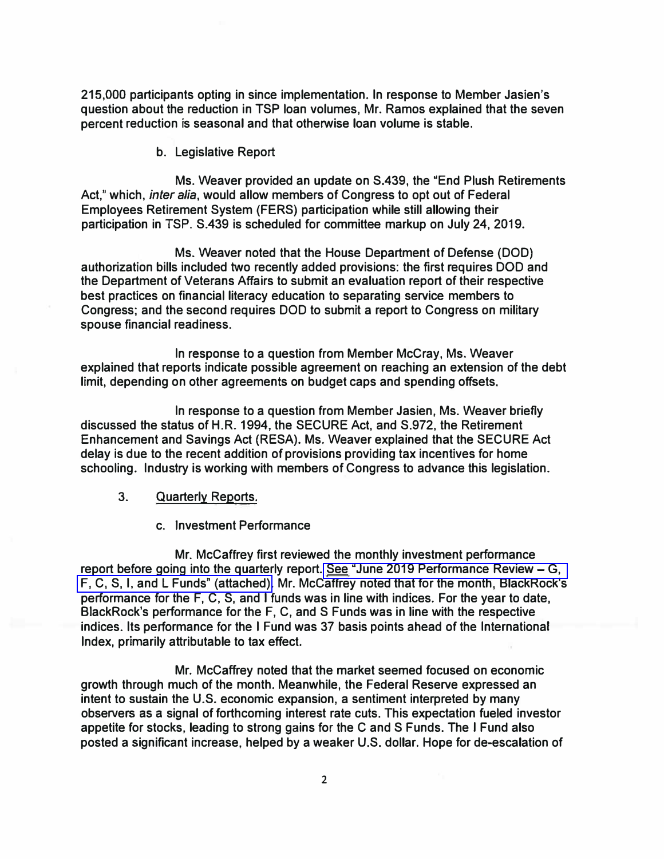**215,000 participants opting in since implementation. In response to Member Jasien's question about the reduction in TSP loan volumes, Mr. Ramos explained that the seven percent reduction is seasonal and that otherwise loan volume is stable.** 

**b. Legislative Report**

**Ms. Weaver provided an update on S.439, the "End Plush Retirements**  Act," which, *inter alia*, would allow members of Congress to opt out of Federal **Employees Retirement System (FERS} participation while still allowing their participation in TSP. S.439 is scheduled for committee markup on July 24, 2019.** 

**Ms. Weaver noted that the House Department of Defense (DOD} authorization bills included two recently added provisions: the first requires DOD and the Department of Veterans Affairs to submit an evaluation report of their respective best practices on financial literacy education to separating service members to Congress; and the second requires DOD to submit a report to Congress on military spouse financial readiness.** 

**In response to a question from Member McCray, Ms. Weaver explained that reports indicate possible agreement on reaching an extension of the debt limit, depending on other agreements on budget caps and spending offsets.** 

**In response to a question from Member Jasien, Ms. Weaver briefly discussed the status of H.R. 1994, the SECURE Act, and S.972, the Retirement Enhancement and Savings Act (RESA). Ms. Weaver explained that the SECURE Act delay is due to the recent addition of provisions providing tax incentives for home schooling. Industry is working with members of Congress to advance this legislation.** 

- **3. Quarterly Reports.**
	- **c. Investment Performance**

**Mr. McCaffrey first reviewed the monthly investment performance report before going into the quarterly report. [See "June 2019 Performance Review - G,](https://www.frtib.gov/pdf/minutes/2019/July/MM-2019July-Att2.pdf)  [F, C, S, I, and L Funds" \(attached\).](https://www.frtib.gov/pdf/minutes/2019/July/MM-2019July-Att2.pdf) Mr. Mccaffrey noted that for the month, BlackRock's performance for the F, C, S, and I funds was in line with indices. For the year to date, BlackRock's performance for the F, C, and S Funds was in line with the respective indices. Its performance for the I Fund was 37 basis points ahead of the International Index, primarily attributable to tax effect.** 

**Mr. McCaffrey noted that the market seemed focused on economic growth through much of the month. Meanwhile, the Federal Reserve expressed an intent to sustain the U.S. economic expansion, a sentiment interpreted by many observers as a signal of forthcoming interest rate cuts. This expectation fueled investor appetite for stocks, leading to strong gains for the C and S Funds. The I Fund also posted a significant increase, helped by a weaker U.S. dollar. Hope for de-escalation of**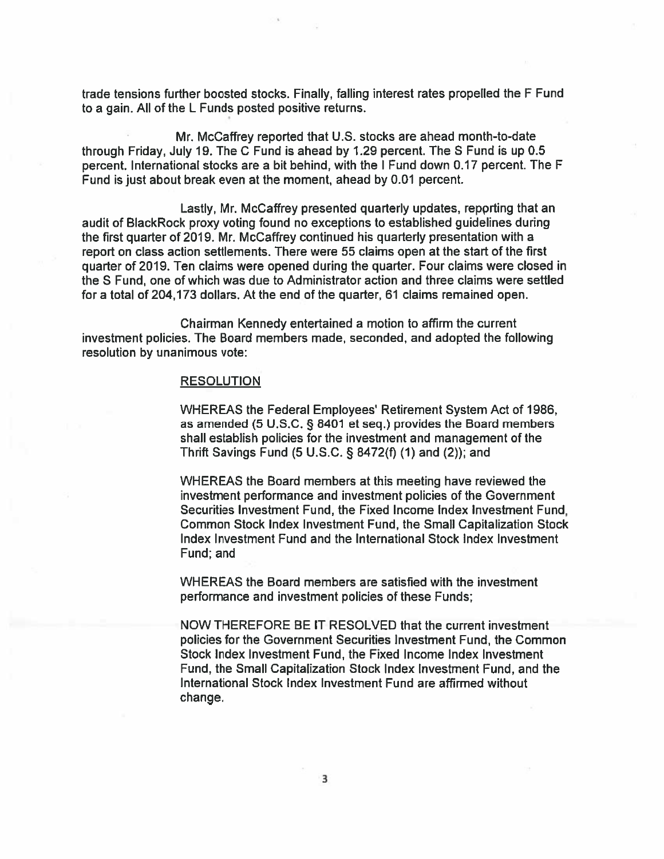trade tensions further boosted stocks. Finally, falling interest rates propelled the F Fund to a gain. All of the L Funds posted positive returns.

Mr. McCaffrey reported that U.S. stocks are ahead month-to-date through Friday, July 19. The C Fund is ahead by 1.29 percent. The S Fund is up 0.5 percent, International stocks are a bit behind, with the I Fund down 0.17 percent. The F Fund is just about break even at the moment, ahead by 0.01 percent.

Lastly, Mr. McCaffrey presented quarterly updates, reporting that an audit of BlackRock proxy voting found no exceptions to established quidelines during the first quarter of 2019. Mr. McCaffrey continued his quarterly presentation with a report on class action settlements. There were 55 claims open at the start of the first quarter of 2019. Ten claims were opened during the quarter. Four claims were closed in the S Fund, one of which was due to Administrator action and three claims were settled for a total of 204,173 dollars. At the end of the quarter, 61 claims remained open.

Chairman Kennedy entertained a motion to affirm the current investment policies. The Board members made, seconded, and adopted the following resolution by unanimous vote:

#### **RESOLUTION**

WHEREAS the Federal Employees' Retirement System Act of 1986, as amended (5 U.S.C. § 8401 et seq.) provides the Board members shall establish policies for the investment and management of the Thrift Savings Fund (5 U.S.C. § 8472(f) (1) and (2)); and

WHEREAS the Board members at this meeting have reviewed the investment performance and investment policies of the Government Securities Investment Fund, the Fixed Income Index Investment Fund. Common Stock Index Investment Fund, the Small Capitalization Stock Index Investment Fund and the International Stock Index Investment Fund: and

WHEREAS the Board members are satisfied with the investment performance and investment policies of these Funds;

NOW THEREFORE BE IT RESOLVED that the current investment policies for the Government Securities Investment Fund, the Common Stock Index Investment Fund, the Fixed Income Index Investment Fund, the Small Capitalization Stock Index Investment Fund, and the International Stock Index Investment Fund are affirmed without change.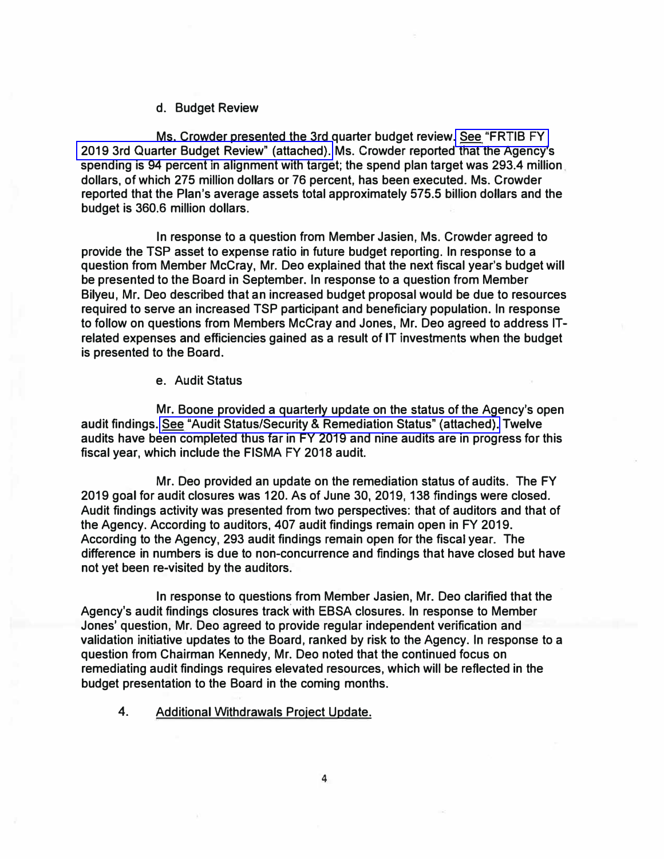### **d. Budget Review**

**Ms. Crowder presented the 3rd quarter budget review[. See "FRTIB FY](https://www.frtib.gov/pdf/minutes/2019/July/MM-2019July-Att3.pdf)  [2019 3rd Quarter Budget Review" \(attached\).](https://www.frtib.gov/pdf/minutes/2019/July/MM-2019July-Att3.pdf) Ms. Crowder reported that the Agency's spending is 94 percent in alignment with target; the spend plan target was 293.4 million dollars, of which 275 million dollars or 76 percent, has been executed. Ms. Crowder reported that the Plan's average assets total approximately 575.5 billion dollars and the budget is 360.6 million dollars.** 

**In response to a question from Member Jasien, Ms. Crowder agreed to provide the TSP asset to expense ratio in future budget reporting. In response to a question from Member McCray, Mr. Dec explained that the next fiscal year's budget will be presented to the Board in September. In response to a question from Member Bilyeu, Mr. Deo described that an increased budget proposal would be due to resources required to serve an increased TSP participant and beneficiary population. In response to follow on questions from Members McCray and Jones, Mr. Dec agreed to address ITrelated expenses and efficiencies gained as a result of IT investments when the budget is presented to the Board.** 

**e. Audit Status**

**Mr. Boone provided a quarterly update on the status of the Agency's open audit findings. [See "Audit Status/Security & Remediation Status" \(attached\).](https://www.frtib.gov/pdf/minutes/2019/July/MM-2019July-Att4.pdf) Twelve audits have been completed thus far in FY 2019 and nine audits are in progress for this fiscal year, which include the FISMA FY 2018 audit.** 

**Mr. Deo provided an update on the remediation status of audits. The FY 2019 goal for audit closures was 120. As of June 30, 2019, 138 findings were closed. Audit findings activity was presented from two perspectives: that of auditors and that of the Agency. According to auditors, 407 audit findings remain open in FY 2019. According to the Agency, 293 audit findings remain open for the fiscal year. The difference in numbers is due to non-concurrence and findings that have closed but have not yet been re-visited by the auditors.** 

**In response to questions from Member Jasien, Mr. Deo clarified that the Agency's audit findings closures track.with EBSA closures. In response to Member Jones' question, Mr. Deo agreed to provide regular independent verification and validation initiative updates to the Board, ranked by risk to the Agency. In response to a question from Chairman Kennedy, Mr. Deo noted that the continued focus on remediating audit findings requires elevated resources, which will be reflected in the budget presentation to the Board in the coming months.** 

4. **Additional Withdrawals Project Update.**